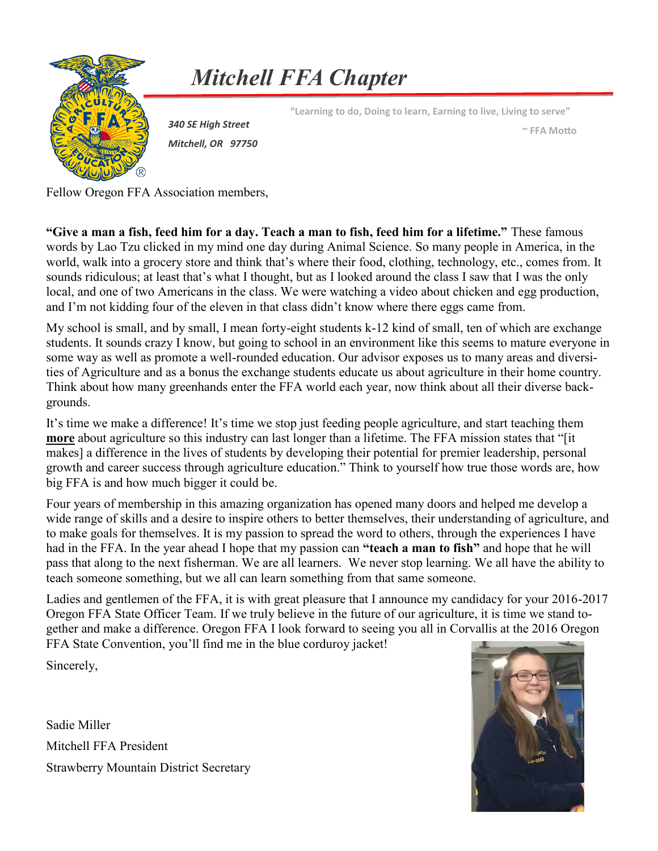

*Mitchell FFA Chapter*

**"Learning to do, Doing to learn, Earning to live, Living to serve"**

*340 SE High Street Mitchell, OR 97750*

**~ FFA Motto**

Fellow Oregon FFA Association members,

**"Give a man a fish, feed him for a day. Teach a man to fish, feed him for a lifetime."** These famous words by Lao Tzu clicked in my mind one day during Animal Science. So many people in America, in the world, walk into a grocery store and think that's where their food, clothing, technology, etc., comes from. It sounds ridiculous; at least that's what I thought, but as I looked around the class I saw that I was the only local, and one of two Americans in the class. We were watching a video about chicken and egg production, and I'm not kidding four of the eleven in that class didn't know where there eggs came from.

My school is small, and by small, I mean forty-eight students k-12 kind of small, ten of which are exchange students. It sounds crazy I know, but going to school in an environment like this seems to mature everyone in some way as well as promote a well-rounded education. Our advisor exposes us to many areas and diversities of Agriculture and as a bonus the exchange students educate us about agriculture in their home country. Think about how many greenhands enter the FFA world each year, now think about all their diverse backgrounds.

It's time we make a difference! It's time we stop just feeding people agriculture, and start teaching them **more** about agriculture so this industry can last longer than a lifetime. The FFA mission states that "[it makes] a difference in the lives of students by developing their potential for premier leadership, personal growth and career success through agriculture education." Think to yourself how true those words are, how big FFA is and how much bigger it could be.

Four years of membership in this amazing organization has opened many doors and helped me develop a wide range of skills and a desire to inspire others to better themselves, their understanding of agriculture, and to make goals for themselves. It is my passion to spread the word to others, through the experiences I have had in the FFA. In the year ahead I hope that my passion can **"teach a man to fish"** and hope that he will pass that along to the next fisherman. We are all learners. We never stop learning. We all have the ability to teach someone something, but we all can learn something from that same someone.

Ladies and gentlemen of the FFA, it is with great pleasure that I announce my candidacy for your 2016-2017 Oregon FFA State Officer Team. If we truly believe in the future of our agriculture, it is time we stand together and make a difference. Oregon FFA I look forward to seeing you all in Corvallis at the 2016 Oregon FFA State Convention, you'll find me in the blue corduroy jacket!

Sincerely,

Sadie Miller Mitchell FFA President Strawberry Mountain District Secretary